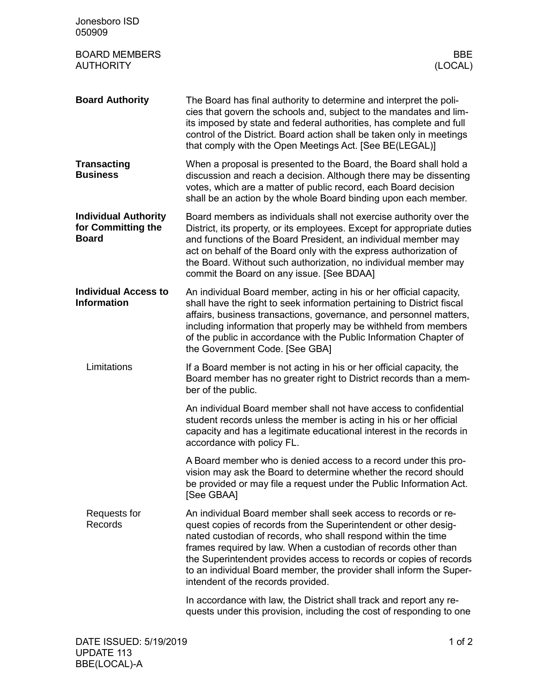| Jonesboro ISD<br>050909                                           |                                                                                                                                                                                                                                                                                                                                                                                                                                                         |
|-------------------------------------------------------------------|---------------------------------------------------------------------------------------------------------------------------------------------------------------------------------------------------------------------------------------------------------------------------------------------------------------------------------------------------------------------------------------------------------------------------------------------------------|
| <b>BOARD MEMBERS</b><br><b>AUTHORITY</b>                          | BBE<br>(LOCAL)                                                                                                                                                                                                                                                                                                                                                                                                                                          |
| <b>Board Authority</b>                                            | The Board has final authority to determine and interpret the poli-<br>cies that govern the schools and, subject to the mandates and lim-<br>its imposed by state and federal authorities, has complete and full<br>control of the District. Board action shall be taken only in meetings<br>that comply with the Open Meetings Act. [See BE(LEGAL)]                                                                                                     |
| <b>Transacting</b><br><b>Business</b>                             | When a proposal is presented to the Board, the Board shall hold a<br>discussion and reach a decision. Although there may be dissenting<br>votes, which are a matter of public record, each Board decision<br>shall be an action by the whole Board binding upon each member.                                                                                                                                                                            |
| <b>Individual Authority</b><br>for Committing the<br><b>Board</b> | Board members as individuals shall not exercise authority over the<br>District, its property, or its employees. Except for appropriate duties<br>and functions of the Board President, an individual member may<br>act on behalf of the Board only with the express authorization of<br>the Board. Without such authorization, no individual member may<br>commit the Board on any issue. [See BDAA]                                                    |
| <b>Individual Access to</b><br><b>Information</b>                 | An individual Board member, acting in his or her official capacity,<br>shall have the right to seek information pertaining to District fiscal<br>affairs, business transactions, governance, and personnel matters,<br>including information that properly may be withheld from members<br>of the public in accordance with the Public Information Chapter of<br>the Government Code. [See GBA]                                                         |
| Limitations                                                       | If a Board member is not acting in his or her official capacity, the<br>Board member has no greater right to District records than a mem-<br>ber of the public.                                                                                                                                                                                                                                                                                         |
|                                                                   | An individual Board member shall not have access to confidential<br>student records unless the member is acting in his or her official<br>capacity and has a legitimate educational interest in the records in<br>accordance with policy FL.                                                                                                                                                                                                            |
|                                                                   | A Board member who is denied access to a record under this pro-<br>vision may ask the Board to determine whether the record should<br>be provided or may file a request under the Public Information Act.<br>[See GBAA]                                                                                                                                                                                                                                 |
| Requests for<br>Records                                           | An individual Board member shall seek access to records or re-<br>quest copies of records from the Superintendent or other desig-<br>nated custodian of records, who shall respond within the time<br>frames required by law. When a custodian of records other than<br>the Superintendent provides access to records or copies of records<br>to an individual Board member, the provider shall inform the Super-<br>intendent of the records provided. |
|                                                                   | In accordance with law, the District shall track and report any re-<br>quests under this provision, including the cost of responding to one                                                                                                                                                                                                                                                                                                             |